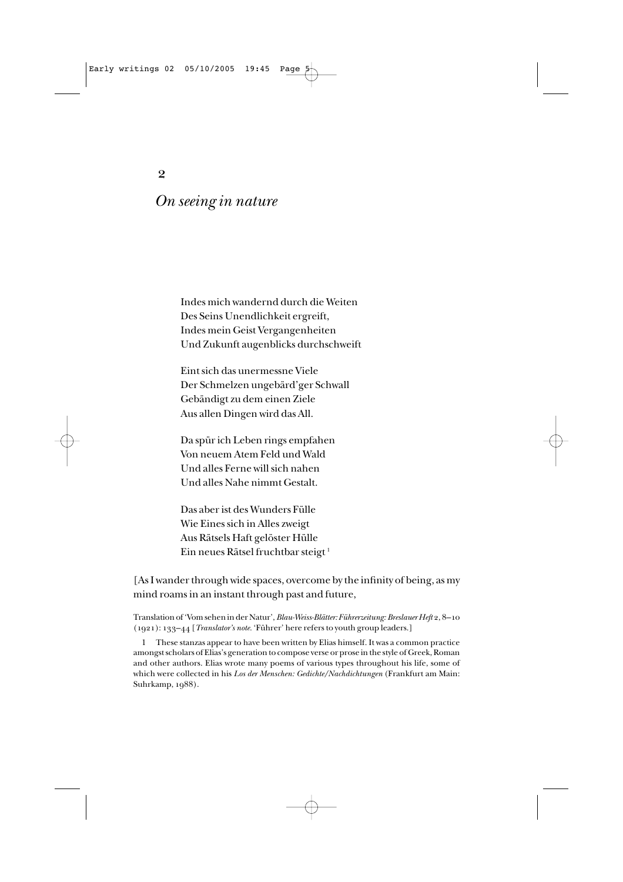2

# *On seeing in nature*

Indes mich wandernd durch die Weiten Des Seins Unendlichkeit ergreift, Indes mein Geist Vergangenheiten Und Zukunft augenblicks durchschweift

Eint sich das unermessne Viele Der Schmelzen ungebärd'ger Schwall Gebändigt zu dem einen Ziele Aus allen Dingen wird das All.

Da spür ich Leben rings empfahen Von neuem Atem Feld und Wald Und alles Ferne will sich nahen Und alles Nahe nimmt Gestalt.

Das aber ist des Wunders Fülle Wie Eines sich in Alles zweigt Aus Rätsels Haft gelöster Hülle Ein neues Rätsel fruchtbar steigt<sup>1</sup>

[As I wander through wide spaces, overcome by the infinity of being, as my mind roams in an instant through past and future,

Translation of 'Vom sehen in der Natur', *Blau-Weiss-Blätter: Führerzeitung: Breslauer Heft* 2, 8–10 (1921): 133–44 [*Translator's note.* 'Führer' here refers to youth group leaders.]

1 These stanzas appear to have been written by Elias himself. It was a common practice amongst scholars of Elias's generation to compose verse or prose in the style of Greek, Roman and other authors. Elias wrote many poems of various types throughout his life, some of which were collected in his *Los der Menschen: Gedichte/Nachdichtungen* (Frankfurt am Main: Suhrkamp, 1988).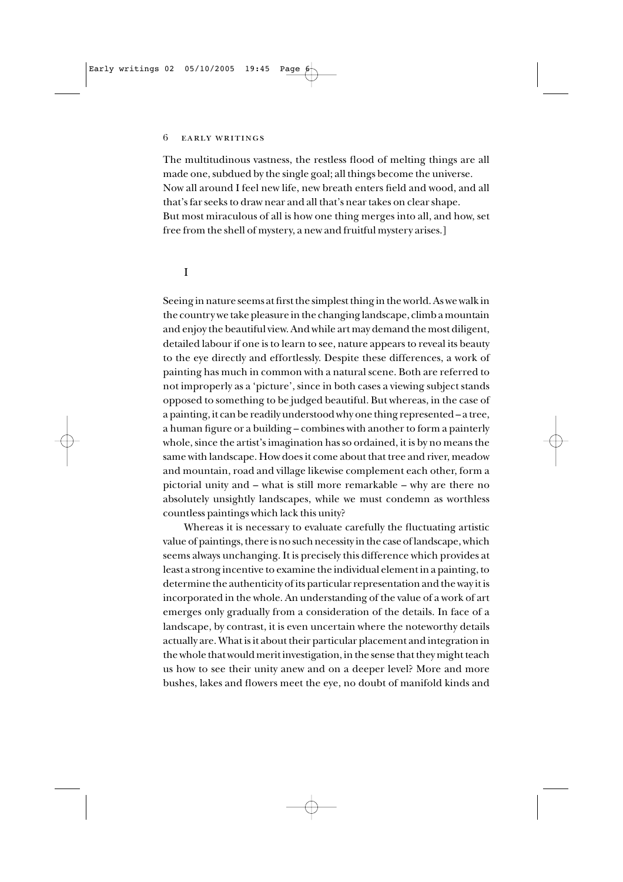#### 6 early writings

The multitudinous vastness, the restless flood of melting things are all made one, subdued by the single goal; all things become the universe. Now all around I feel new life, new breath enters field and wood, and all that's far seeks to draw near and all that's near takes on clear shape. But most miraculous of all is how one thing merges into all, and how, set free from the shell of mystery, a new and fruitful mystery arises.]

## I

Seeing in nature seems at first the simplest thing in the world. As we walk in the country we take pleasure in the changing landscape, climb a mountain and enjoy the beautiful view. And while art may demand the most diligent, detailed labour if one is to learn to see, nature appears to reveal its beauty to the eye directly and effortlessly. Despite these differences, a work of painting has much in common with a natural scene. Both are referred to not improperly as a 'picture', since in both cases a viewing subject stands opposed to something to be judged beautiful. But whereas, in the case of a painting, it can be readily understood why one thing represented – a tree, a human figure or a building – combines with another to form a painterly whole, since the artist's imagination has so ordained, it is by no means the same with landscape. How does it come about that tree and river, meadow and mountain, road and village likewise complement each other, form a pictorial unity and – what is still more remarkable – why are there no absolutely unsightly landscapes, while we must condemn as worthless countless paintings which lack this unity?

Whereas it is necessary to evaluate carefully the fluctuating artistic value of paintings, there is no such necessity in the case of landscape, which seems always unchanging. It is precisely this difference which provides at least a strong incentive to examine the individual element in a painting, to determine the authenticity of its particular representation and the way it is incorporated in the whole. An understanding of the value of a work of art emerges only gradually from a consideration of the details. In face of a landscape, by contrast, it is even uncertain where the noteworthy details actually are. What is it about their particular placement and integration in the whole that would merit investigation, in the sense that they might teach us how to see their unity anew and on a deeper level? More and more bushes, lakes and flowers meet the eye, no doubt of manifold kinds and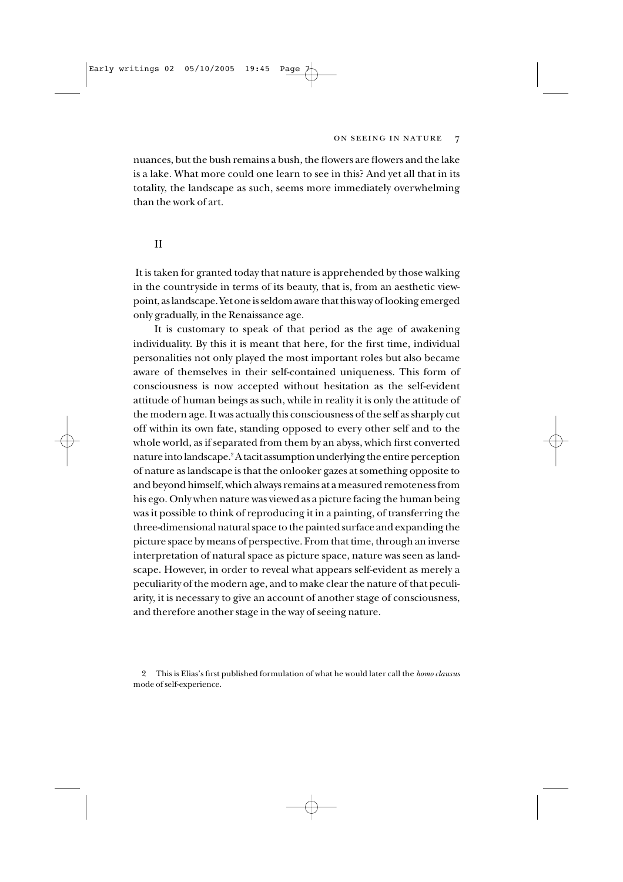#### ON SEEING IN NATURE 7

nuances, but the bush remains a bush, the flowers are flowers and the lake is a lake. What more could one learn to see in this? And yet all that in its totality, the landscape as such, seems more immediately overwhelming than the work of art.

### II

It is taken for granted today that nature is apprehended by those walking in the countryside in terms of its beauty, that is, from an aesthetic viewpoint, as landscape. Yet one is seldom aware that this way of looking emerged only gradually, in the Renaissance age.

It is customary to speak of that period as the age of awakening individuality. By this it is meant that here, for the first time, individual personalities not only played the most important roles but also became aware of themselves in their self-contained uniqueness. This form of consciousness is now accepted without hesitation as the self-evident attitude of human beings as such, while in reality it is only the attitude of the modern age. It was actually this consciousness of the self as sharply cut off within its own fate, standing opposed to every other self and to the whole world, as if separated from them by an abyss, which first converted nature into landscape.2A tacit assumption underlying the entire perception of nature as landscape is that the onlooker gazes at something opposite to and beyond himself, which always remains at a measured remoteness from his ego. Only when nature was viewed as a picture facing the human being was it possible to think of reproducing it in a painting, of transferring the three-dimensional natural space to the painted surface and expanding the picture space by means of perspective. From that time, through an inverse interpretation of natural space as picture space, nature was seen as landscape. However, in order to reveal what appears self-evident as merely a peculiarity of the modern age, and to make clear the nature of that peculiarity, it is necessary to give an account of another stage of consciousness, and therefore another stage in the way of seeing nature.

2 This is Elias's first published formulation of what he would later call the *homo clausus* mode of self-experience.